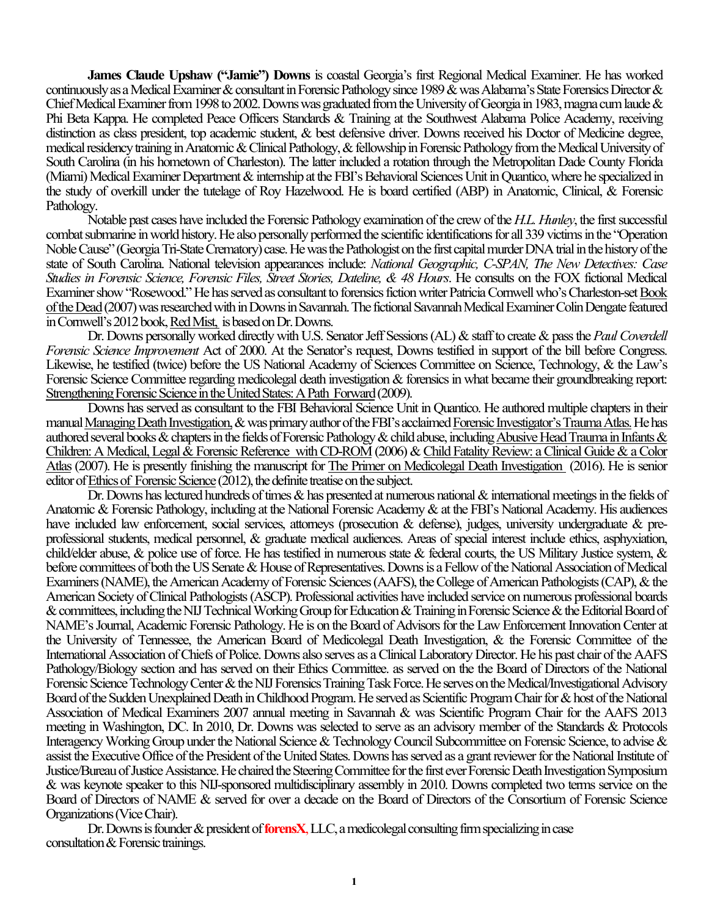**James Claude Upshaw ("Jamie") Downs** is coastal Georgia's first Regional Medical Examiner. He has worked continuously as a Medical Examiner & consultant in Forensic Pathology since 1989 & was Alabama's State Forensics Director & Chief Medical Examiner from 1998 to 2002. Downs was graduated from the University of Georgia in 1983, magna cum laude & Phi Beta Kappa. He completed Peace Officers Standards & Training at the Southwest Alabama Police Academy, receiving distinction as class president, top academic student, & best defensive driver. Downs received his Doctor of Medicine degree, medical residency training in Anatomic& Clinical Pathology,& fellowship in Forensic Pathology from the Medical University of South Carolina (in his hometown of Charleston). The latter included a rotation through the Metropolitan Dade County Florida (Miami) Medical Examiner Department& internship at the FBI's Behavioral Sciences Unit in Quantico, where he specialized in the study of overkill under the tutelage of Roy Hazelwood. He is board certified (ABP) in Anatomic, Clinical, & Forensic Pathology.

Notable past cases have included the Forensic Pathology examination of the crew of the *H.L. Hunley*, the first successful combat submarine in world history. He also personally performed the scientific identifications for all 339 victims in the "Operation Noble Cause" (Georgia Tri-State Crematory) case. He was the Pathologist on the first capital murder DNA trial in the history of the state of South Carolina. National television appearances include: *National Geographic, C-SPAN, The New Detectives: Case Studies in Forensic Science, Forensic Files, Street Stories, Dateline, & 48 Hours*. He consults on the FOX fictional Medical Examiner show "Rosewood."He has served as consultant to forensics fiction writer Patricia Cornwell who's Charleston-set Book of the Dead(2007) was researched with in Downsin Savannah. The fictional Savannah Medical Examiner Colin Dengate featured in Cornwell's 2012 book, Red Mist, is based on Dr. Downs.

Dr. Downs personally worked directly with U.S. Senator Jeff Sessions (AL)& staff to create& pass the *Paul Coverdell Forensic Science Improvement* Act of 2000. At the Senator's request, Downs testified in support of the bill before Congress. Likewise, he testified (twice) before the US National Academy of Sciences Committee on Science, Technology, & the Law's Forensic Science Committee regarding medicolegal death investigation & forensics in what became their groundbreaking report: Strengthening Forensic Science in the United States: A Path Forward(2009).

Downs has served as consultant to the FBI Behavioral Science Unit in Quantico. He authored multiple chapters in their manual Managing Death Investigation,& was primary author of the FBI's acclaimed Forensic Investigator's Trauma Atlas.He has authored several books & chapters in the fields of Forensic Pathology & child abuse, including Abusive Head Trauma in Infants  $\&$ Children: A Medical, Legal & Forensic Reference with CD-ROM (2006) & Child Fatality Review: a Clinical Guide & a Color Atlas(2007). He is presently finishing the manuscript for The Primer on Medicolegal Death Investigation (2016). He is senior editor of Ethics of Forensic Science(2012), the definite treatise on the subject.

Dr. Downs has lectured hundreds of times & has presented at numerous national & international meetings in the fields of Anatomic & Forensic Pathology, including at the National Forensic Academy & at the FBI's National Academy. His audiences have included law enforcement, social services, attorneys (prosecution & defense), judges, university undergraduate & preprofessional students, medical personnel, & graduate medical audiences. Areas of special interest include ethics, asphyxiation, child/elder abuse, & police use of force. He has testified in numerous state & federal courts, the US Military Justice system, & before committees of both the US Senate & House of Representatives. Downs is a Fellow of the National Association of Medical Examiners (NAME), the American Academy of Forensic Sciences (AAFS), the College of American Pathologists (CAP),& the American Society of Clinical Pathologists (ASCP). Professional activities have included service on numerous professional boards & committees, including the NIJ Technical Working Group for Education& Training in Forensic Science& the Editorial Board of NAME's Journal, Academic Forensic Pathology. He is on the Board of Advisors for the Law Enforcement Innovation Center at the University of Tennessee, the American Board of Medicolegal Death Investigation, & the Forensic Committee of the International Association of Chiefs of Police.Downs also serves as a Clinical Laboratory Director. He his past chair of the AAFS Pathology/Biology section and has served on their Ethics Committee. as served on the the Board of Directors of the National Forensic Science Technology Center& theNIJ Forensics Training Task Force. He serves on the Medical/Investigational Advisory Board of the Sudden Unexplained Death in Childhood Program. He served as Scientific Program Chair for & host of the National Association of Medical Examiners 2007 annual meeting in Savannah & was Scientific Program Chair for the AAFS 2013 meeting in Washington, DC. In 2010, Dr. Downs was selected to serve as an advisory member of the Standards & Protocols Interagency Working Group under the National Science & Technology Council Subcommittee on Forensic Science, to advise & assist the Executive Office of the President of the United States. Downs has served as a grantreviewer for the National Institute of Justice/Bureau of Justice Assistance. He chaired the Steering Committee for the first ever Forensic Death Investigation Symposium & was keynote speaker to this NIJ-sponsored multidisciplinary assembly in 2010. Downs completed two terms service on the Board of Directors of NAME & served for over a decade on the Board of Directors of the Consortium of Forensic Science Organizations (Vice Chair).

Dr. Downs is founder& president of**forensX**,LLC, a medicolegal consulting firm specializing in case consultation& Forensic trainings.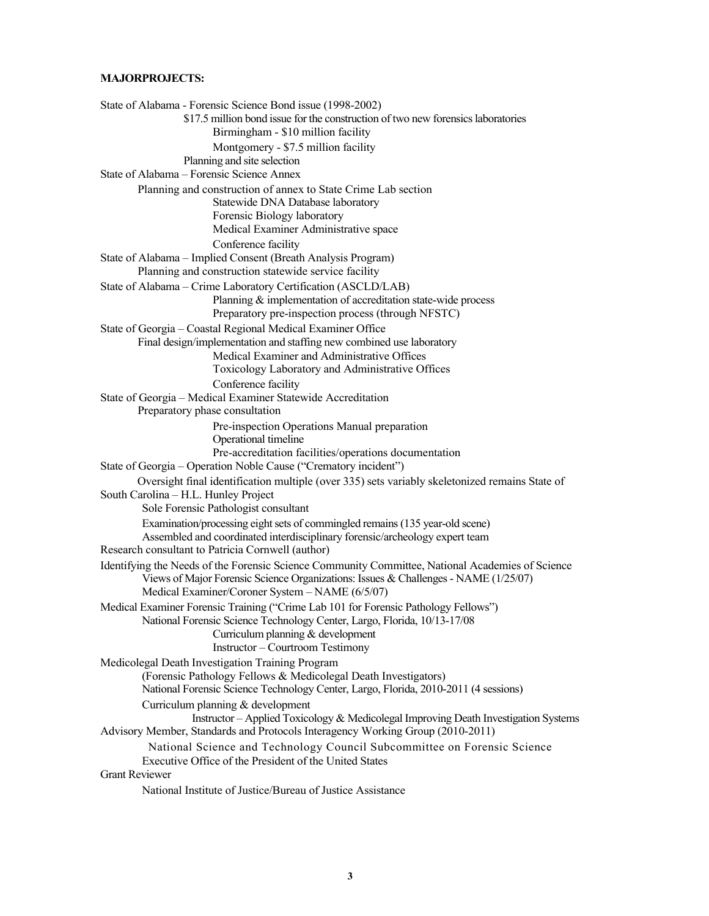#### **MAJORPROJECTS:**

State of Alabama - Forensic Science Bond issue (1998-2002) \$17.5 million bond issue for the construction of two new forensics laboratories Birmingham - \$10 million facility Montgomery - \$7.5 million facility Planning and site selection State of Alabama – Forensic Science Annex Planning and construction of annex to State Crime Lab section Statewide DNA Database laboratory Forensic Biology laboratory Medical Examiner Administrative space Conference facility State of Alabama – Implied Consent (Breath Analysis Program) Planning and construction statewide service facility State of Alabama – Crime Laboratory Certification (ASCLD/LAB) Planning & implementation of accreditation state-wide process Preparatory pre-inspection process (through NFSTC) State of Georgia – Coastal Regional Medical Examiner Office Final design/implementation and staffing new combined use laboratory Medical Examiner and Administrative Offices Toxicology Laboratory and Administrative Offices Conference facility State of Georgia – Medical Examiner Statewide Accreditation Preparatory phase consultation Pre-inspection Operations Manual preparation Operational timeline Pre-accreditation facilities/operations documentation State of Georgia – Operation Noble Cause ("Crematory incident") Oversight final identification multiple (over 335) sets variably skeletonized remains State of South Carolina – H.L. Hunley Project Sole Forensic Pathologist consultant Examination/processing eight sets of commingled remains (135 year-old scene) Assembled and coordinated interdisciplinary forensic/archeology expert team Research consultant to Patricia Cornwell (author) Identifying the Needs of the Forensic Science Community Committee, National Academies of Science Views of Major Forensic Science Organizations: Issues & Challenges - NAME (1/25/07) Medical Examiner/Coroner System – NAME (6/5/07) Medical Examiner Forensic Training ("Crime Lab 101 for Forensic Pathology Fellows") National Forensic Science Technology Center, Largo, Florida, 10/13-17/08 Curriculum planning & development Instructor – Courtroom Testimony Medicolegal Death Investigation Training Program (Forensic Pathology Fellows & Medicolegal Death Investigators) National Forensic Science Technology Center, Largo, Florida, 2010-2011 (4 sessions) Curriculum planning & development Instructor – Applied Toxicology & Medicolegal Improving Death Investigation Systems Advisory Member, Standards and Protocols Interagency Working Group (2010-2011) National Science and Technology Council Subcommittee on Forensic Science Executive Office of the President of the United States Grant Reviewer National Institute of Justice/Bureau of Justice Assistance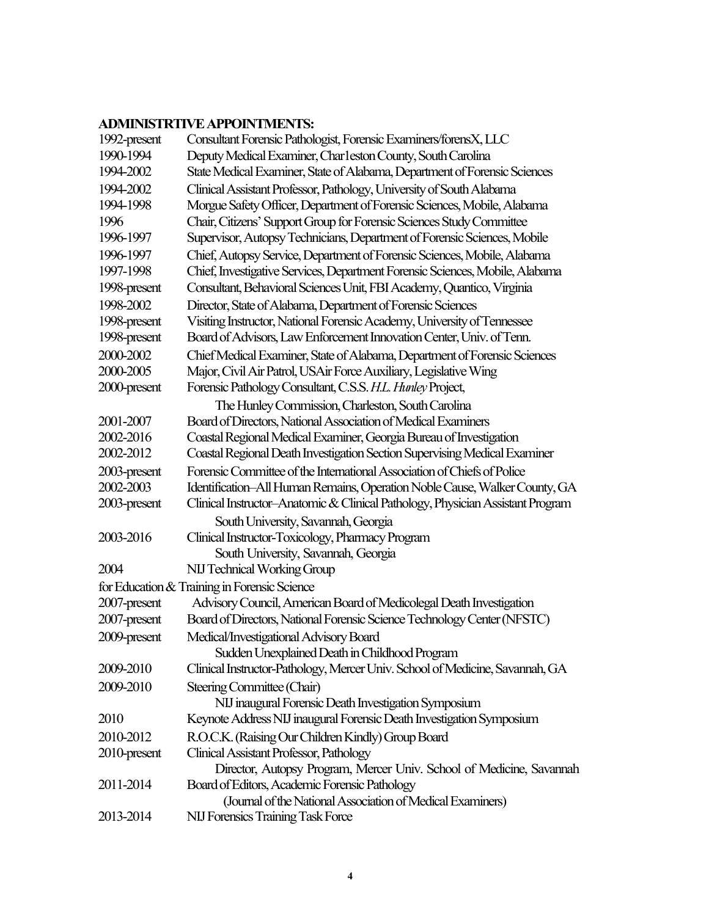# **ADMINISTRTIVE APPOINTMENTS:**

| 1992-present | Consultant Forensic Pathologist, Forensic Examiners/forensX, LLC               |
|--------------|--------------------------------------------------------------------------------|
| 1990-1994    | Deputy Medical Examiner, Charleston County, South Carolina                     |
| 1994-2002    | State Medical Examiner, State of Alabama, Department of Forensic Sciences      |
| 1994-2002    | Clinical Assistant Professor, Pathology, University of South Alabama           |
| 1994-1998    | Morgue Safety Officer, Department of Forensic Sciences, Mobile, Alabama        |
| 1996         | Chair, Citizens' Support Group for Forensic Sciences Study Committee           |
| 1996-1997    | Supervisor, Autopsy Technicians, Department of Forensic Sciences, Mobile       |
| 1996-1997    | Chief, Autopsy Service, Department of Forensic Sciences, Mobile, Alabama       |
| 1997-1998    | Chief, Investigative Services, Department Forensic Sciences, Mobile, Alabama   |
| 1998-present | Consultant, Behavioral Sciences Unit, FBI Academy, Quantico, Virginia          |
| 1998-2002    | Director, State of Alabama, Department of Forensic Sciences                    |
| 1998-present | Visiting Instructor, National Forensic Academy, University of Tennessee        |
| 1998-present | Board of Advisors, Law Enforcement Innovation Center, Univ. of Tenn.           |
| 2000-2002    | Chief Medical Examiner, State of Alabama, Department of Forensic Sciences      |
| 2000-2005    | Major, Civil Air Patrol, USAir Force Auxiliary, Legislative Wing               |
| 2000-present | Forensic Pathology Consultant, C.S.S. H.L. Hunley Project,                     |
|              | The Hunley Commission, Charleston, South Carolina                              |
| 2001-2007    | Board of Directors, National Association of Medical Examiners                  |
| 2002-2016    | Coastal Regional Medical Examiner, Georgia Bureau of Investigation             |
| 2002-2012    | Coastal Regional Death Investigation Section Supervising Medical Examiner      |
| 2003-present | Forensic Committee of the International Association of Chiefs of Police        |
| 2002-2003    | Identification-All Human Remains, Operation Noble Cause, Walker County, GA     |
| 2003-present | Clinical Instructor-Anatomic & Clinical Pathology, Physician Assistant Program |
|              | South University, Savannah, Georgia                                            |
| 2003-2016    | Clinical Instructor-Toxicology, Pharmacy Program                               |
|              | South University, Savannah, Georgia                                            |
| 2004         | NIJ Technical Working Group                                                    |
|              | for Education & Training in Forensic Science                                   |
| 2007-present | Advisory Council, American Board of Medicolegal Death Investigation            |
| 2007-present | Board of Directors, National Forensic Science Technology Center (NFSTC)        |
| 2009-present | Medical/Investigational Advisory Board                                         |
|              | Sudden Unexplained Death in Childhood Program                                  |
| 2009-2010    | Clinical Instructor-Pathology, Mercer Univ. School of Medicine, Savannah, GA   |
| 2009-2010    | Steering Committee (Chair)                                                     |
|              | NIJ inaugural Forensic Death Investigation Symposium                           |
| 2010         | Keynote Address NIJ inaugural Forensic Death Investigation Symposium           |
| 2010-2012    | R.O.C.K. (Raising Our Children Kindly) Group Board                             |
| 2010-present | Clinical Assistant Professor, Pathology                                        |
|              | Director, Autopsy Program, Mercer Univ. School of Medicine, Savannah           |
| 2011-2014    | Board of Editors, Academic Forensic Pathology                                  |
|              | (Journal of the National Association of Medical Examiners)                     |
| 2013-2014    | NIJ Forensics Training Task Force                                              |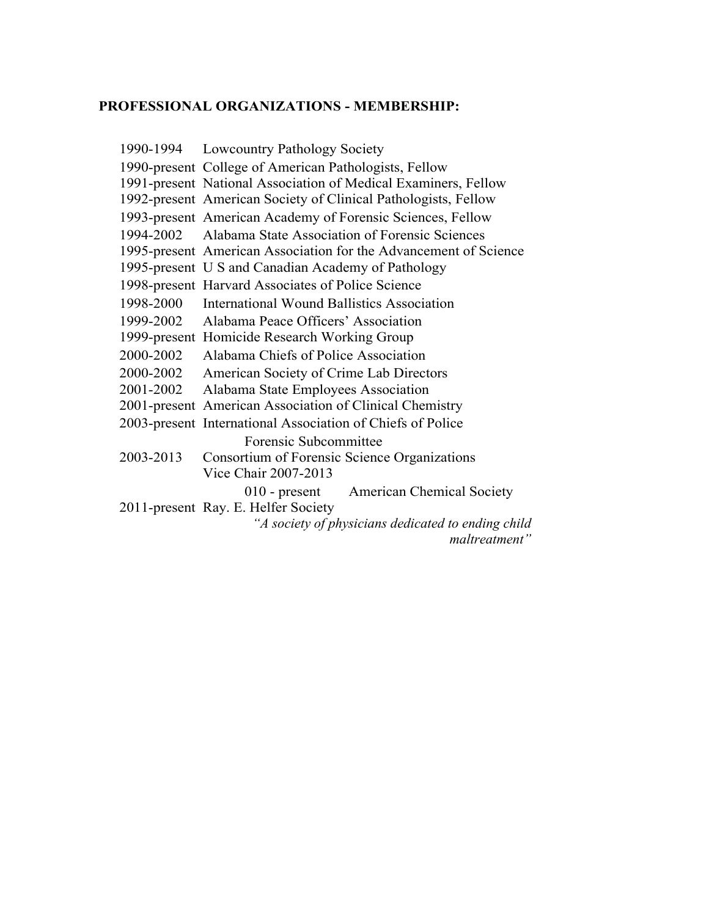## **PROFESSIONAL ORGANIZATIONS - MEMBERSHIP:**

1990-1994 Lowcountry Pathology Society 1990-present College of American Pathologists, Fellow 1991-present National Association of Medical Examiners, Fellow 1992-present American Society of Clinical Pathologists, Fellow 1993-present American Academy of Forensic Sciences, Fellow 1994-2002 Alabama State Association of Forensic Sciences 1995-present American Association for the Advancement of Science 1995-present U S and Canadian Academy of Pathology 1998-present Harvard Associates of Police Science 1998-2000 International Wound Ballistics Association 1999-2002 Alabama Peace Officers' Association 1999-present Homicide Research Working Group 2000-2002 Alabama Chiefs of Police Association 2000-2002 American Society of Crime Lab Directors 2001-2002 Alabama State Employees Association 2001-present American Association of Clinical Chemistry 2003-present International Association of Chiefs of Police Forensic Subcommittee 2003-2013 Consortium of Forensic Science Organizations Vice Chair 2007-2013 010 - present American Chemical Society 2011-present Ray. E. Helfer Society *"A society of physicians dedicated to ending child* 

*maltreatment"*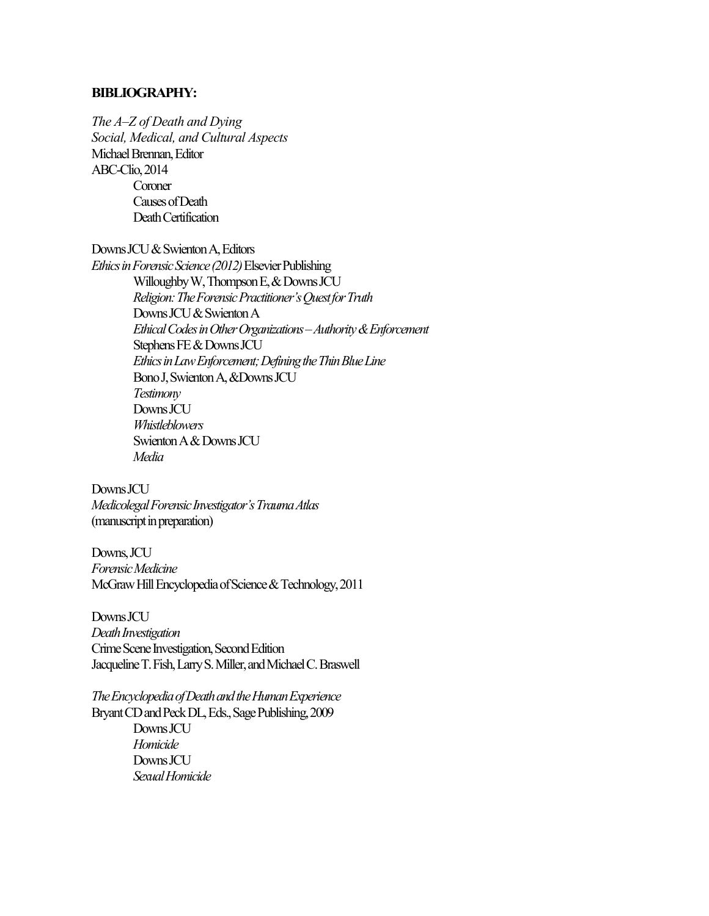### **BIBLIOGRAPHY:**

*The A–Z of Death and Dying Social, Medical, and Cultural Aspects* Michael Brennan, Editor ABC-Clio, 2014 **Coroner** Causes of Death Death Certification

Downs JCU & Swienton A, Editors

*Ethics in Forensic Science (2012)* Elsevier Publishing Willoughby W, Thompson E, & Downs JCU *Religion: The Forensic Practitioner's Quest for Truth* Downs JCU & Swienton A *Ethical Codes in Other Organizations –Authority & Enforcement* Stephens FE & Downs JCU *Ethics in Law Enforcement; Defining the Thin Blue Line* Bono J, Swienton A, &Downs JCU *Testimony* Downs JCU *Whistleblowers* Swienton A & Downs JCU *Media*

Downs JCU *Medicolegal Forensic Investigator's Trauma Atlas*  (manuscript in preparation)

Downs, JCU *Forensic Medicine* McGraw Hill Encyclopedia of Science & Technology, 2011

Downs JCU *Death Investigation* Crime Scene Investigation, Second Edition Jacqueline T. Fish, Larry S. Miller, and Michael C. Braswell

*The Encyclopedia ofDeath and the Human Experience* Bryant CD and Peck DL, Eds., Sage Publishing, 2009 Downs JCU *Homicide* Downs JCU *Sexual Homicide*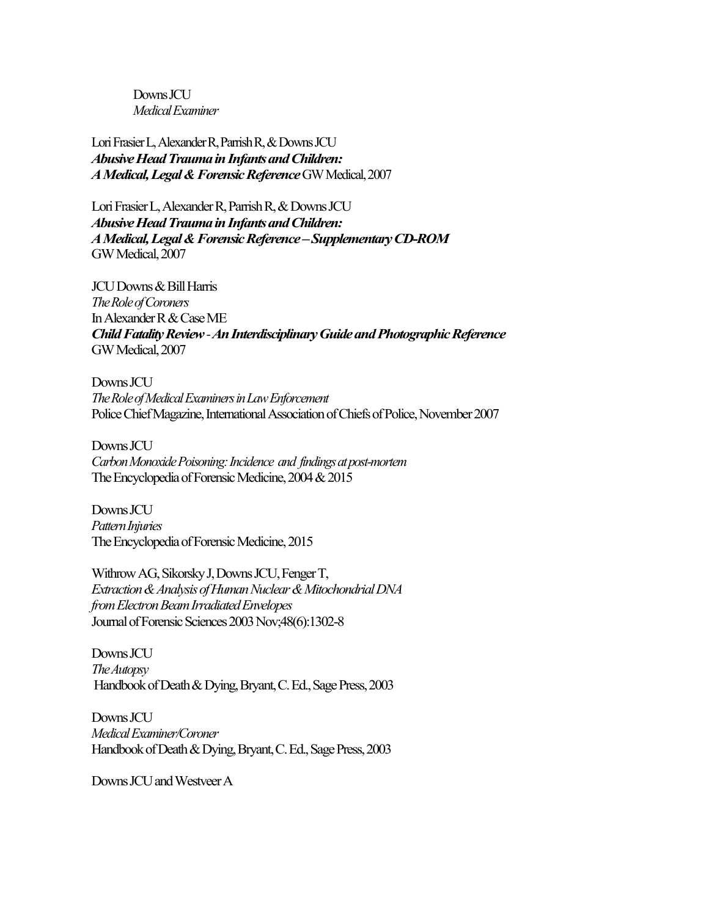Downs JCU *Medical Examiner*

Lori Frasier L, Alexander R, Parrish R, & Downs JCU *Abusive Head Trauma in Infants and Children: A Medical, Legal & Forensic Reference* GW Medical, 2007

Lori Frasier L, Alexander R, Parrish R, & Downs JCU *Abusive Head Trauma in Infants and Children: A Medical, Legal & Forensic Reference–Supplementary CD-ROM* GW Medical, 2007

JCU Downs & Bill Harris *The Role of Coroners* In Alexander R & Case ME *Child Fatality Review -An Interdisciplinary Guide and Photographic Reference* GW Medical, 2007

Downs JCU *The Role ofMedical Examiners in Law Enforcement* Police Chief Magazine, International Association of Chiefs of Police, November 2007

Downs JCU *Carbon Monoxide Poisoning: Incidence and findings at post-mortem* The Encyclopedia of Forensic Medicine, 2004& 2015

Downs JCU *Pattern Injuries* The Encyclopedia of Forensic Medicine, 2015

Withrow AG, Sikorsky J, Downs JCU, Fenger T, *Extraction & Analysis ofHuman Nuclear & Mitochondrial DNA from Electron Beam Irradiated Envelopes* Journal of Forensic Sciences 2003 Nov;48(6):1302-8

Downs JCU *The Autopsy* Handbook of Death & Dying, Bryant, C. Ed., Sage Press, 2003

Downs JCU *Medical Examiner/Coroner*  Handbook of Death & Dying, Bryant, C. Ed., Sage Press, 2003

Downs JCU and Westveer A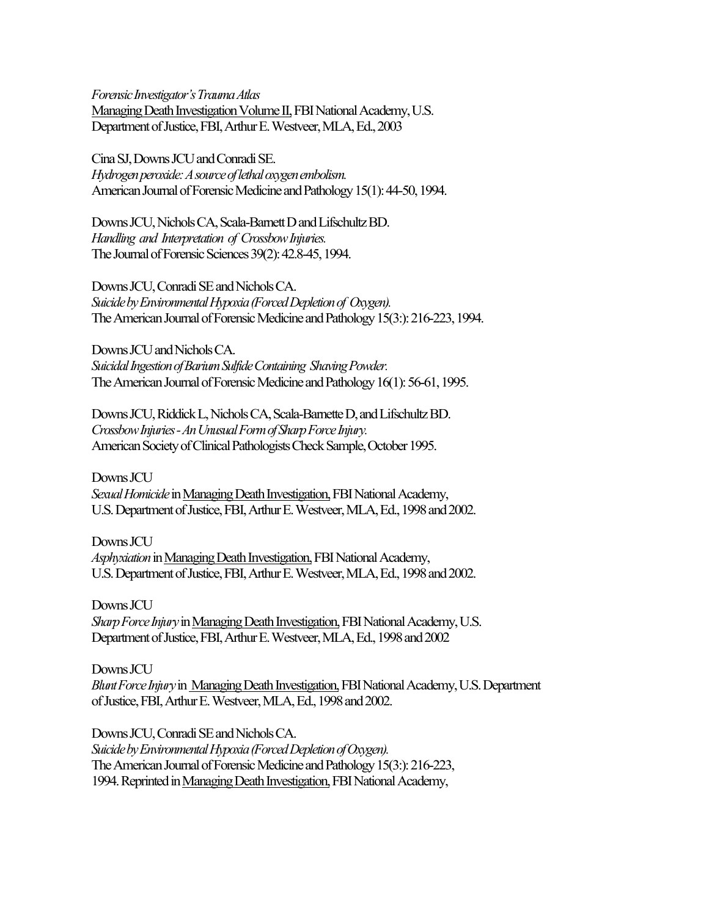*Forensic Investigator's Trauma Atlas* Managing Death Investigation Volume II,FBI National Academy, U.S. Department of Justice, FBI, Arthur E. Westveer, MLA, Ed., 2003

CinaSJ, Downs JCU and Conradi SE. *Hydrogen peroxide: A source of lethal oxygen embolism.* American Journal of Forensic Medicine and Pathology 15(1): 44-50, 1994.

Downs JCU, Nichols CA, Scala-Barnett D and Lifschultz BD. *Handling and Interpretation of Crossbow Injuries.* The Journal of Forensic Sciences 39(2): 42.8-45, 1994.

Downs JCU, Conradi SE and Nichols CA. *Suicide by Environmental Hypoxia (Forced Depletion of Oxygen).* The American Journal of Forensic Medicine and Pathology 15(3:): 216-223, 1994.

Downs JCU and Nichols CA. *Suicidal Ingestion ofBarium Sulfide Containing Shaving Powder.* The American Journal of Forensic Medicine and Pathology 16(1): 56-61, 1995.

Downs JCU, Riddick L, Nichols CA, Scala-Barnette D, and Lifschultz BD. *Crossbow Injuries -An Unusual Form of Sharp Force Injury.* American Society of Clinical Pathologists Check Sample, October 1995.

Downs JCU *Sexual Homicide* in Managing Death Investigation,FBI National Academy, U.S. Department of Justice, FBI, Arthur E. Westveer, MLA, Ed., 1998 and 2002.

Downs JCU *Asphyxiation* in Managing Death Investigation,FBI National Academy, U.S. Department of Justice, FBI, Arthur E. Westveer, MLA, Ed., 1998 and 2002.

Downs JCU *Sharp Force Injury* in Managing Death Investigation, FBI National Academy, U.S. Department of Justice, FBI, Arthur E. Westveer, MLA, Ed., 1998 and 2002

Downs JCU *Blunt Force Injury* in Managing Death Investigation,FBI National Academy, U.S. Department of Justice, FBI, Arthur E. Westveer, MLA, Ed., 1998 and 2002.

Downs JCU, Conradi SE and Nichols CA. *Suicide by Environmental Hypoxia (Forced Depletion of Oxygen).* The American Journal of Forensic Medicine and Pathology 15(3:): 216-223, 1994. Reprinted in Managing Death Investigation, FBI National Academy,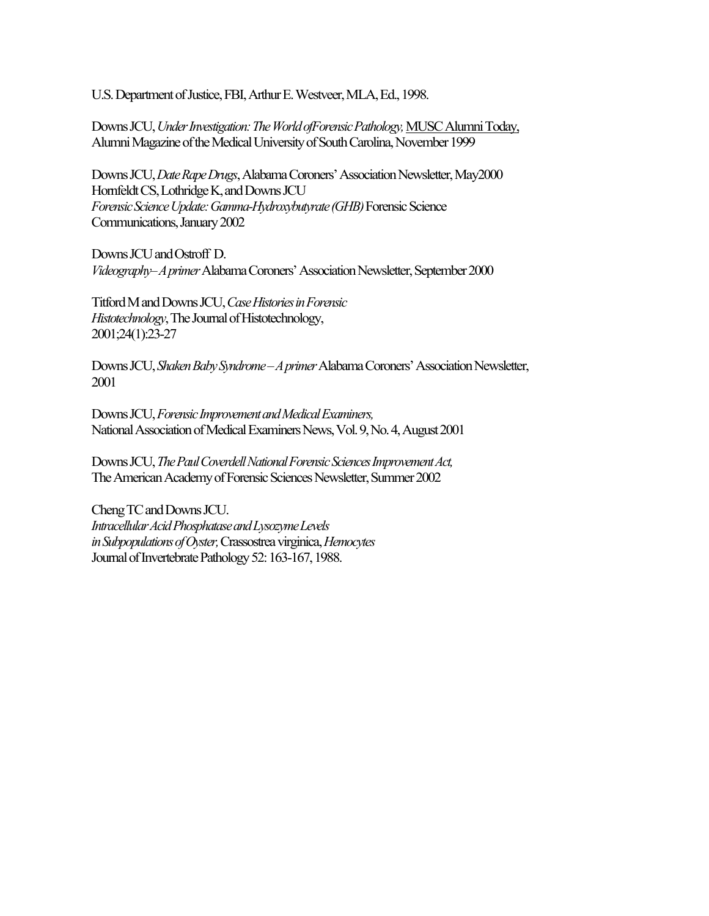U.S. Department of Justice, FBI, Arthur E. Westveer, MLA, Ed., 1998.

Downs JCU, *Under Investigation: The World ofForensic Pathology,* MUSC Alumni Today, Alumni Magazine of the Medical University of South Carolina, November 1999

Downs JCU, *Date Rape Drugs*, Alabama Coroners' Association Newsletter, May2000 Hornfeldt CS, Lothridge K, and Downs JCU *Forensic Science Update: Gamma-Hydroxybutyrate (GHB)* Forensic Science Communications, January 2002

Downs JCU and Ostroff D. *Videography–A primer* Alabama Coroners' Association Newsletter, September 2000

Titford M and Downs JCU, *Case Histories in Forensic Histotechnology*, The Journal of Histotechnology, 2001;24(1):23-27

Downs JCU, *Shaken Baby Syndrome –A primer* Alabama Coroners' Association Newsletter, 2001

Downs JCU, *Forensic Improvement and Medical Examiners,* National Association of Medical Examiners News, Vol. 9, No. 4, August 2001

Downs JCU, *The Paul Coverdell National Forensic Sciences Improvement Act,*  The American Academy of Forensic Sciences Newsletter, Summer 2002

Cheng TC and Downs JCU. *Intracellular Acid Phosphatase and Lysozyme Levels in Subpopulations of Oyster,* Crassostrea virginica, *Hemocytes*  Journal of Invertebrate Pathology 52: 163-167, 1988.